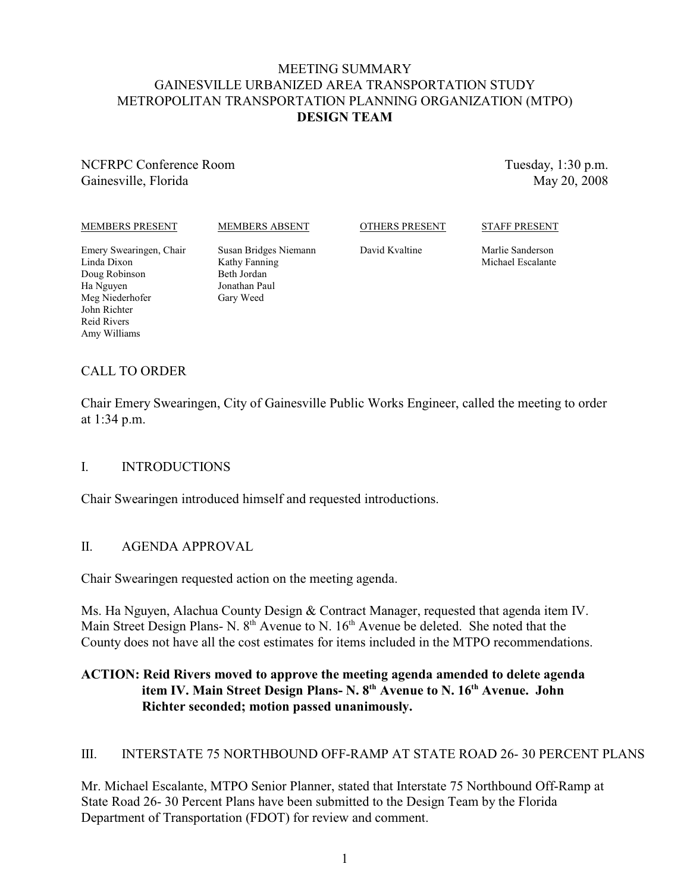#### MEETING SUMMARY GAINESVILLE URBANIZED AREA TRANSPORTATION STUDY METROPOLITAN TRANSPORTATION PLANNING ORGANIZATION (MTPO) **DESIGN TEAM**

NCFRPC Conference Room Gainesville, Florida

Tuesday, 1:30 p.m. May 20, 2008

MEMBERS PRESENT

MEMBERS ABSENT

OTHERS PRESENT

STAFF PRESENT

Emery Swearingen, Chair Linda Dixon Doug Robinson Ha Nguyen Meg Niederhofer John Richter Reid Rivers Amy Williams

Susan Bridges Niemann Kathy Fanning Beth Jordan Jonathan Paul Gary Weed

David Kvaltine

Marlie Sanderson Michael Escalante

# CALL TO ORDER

Chair Emery Swearingen, City of Gainesville Public Works Engineer, called the meeting to order at 1:34 p.m.

#### I. INTRODUCTIONS

Chair Swearingen introduced himself and requested introductions.

# II. AGENDA APPROVAL

Chair Swearingen requested action on the meeting agenda.

Ms. Ha Nguyen, Alachua County Design & Contract Manager, requested that agenda item IV. Main Street Design Plans- N.  $8<sup>th</sup>$  Avenue to N.  $16<sup>th</sup>$  Avenue be deleted. She noted that the County does not have all the cost estimates for items included in the MTPO recommendations.

### **ACTION: Reid Rivers moved to approve the meeting agenda amended to delete agenda** item IV. Main Street Design Plans- N. 8<sup>th</sup> Avenue to N. 16<sup>th</sup> Avenue. John **Richter seconded; motion passed unanimously.**

# III. INTERSTATE 75 NORTHBOUND OFF-RAMP AT STATE ROAD 26- 30 PERCENT PLANS

Mr. Michael Escalante, MTPO Senior Planner, stated that Interstate 75 Northbound Off-Ramp at State Road 26- 30 Percent Plans have been submitted to the Design Team by the Florida Department of Transportation (FDOT) for review and comment.